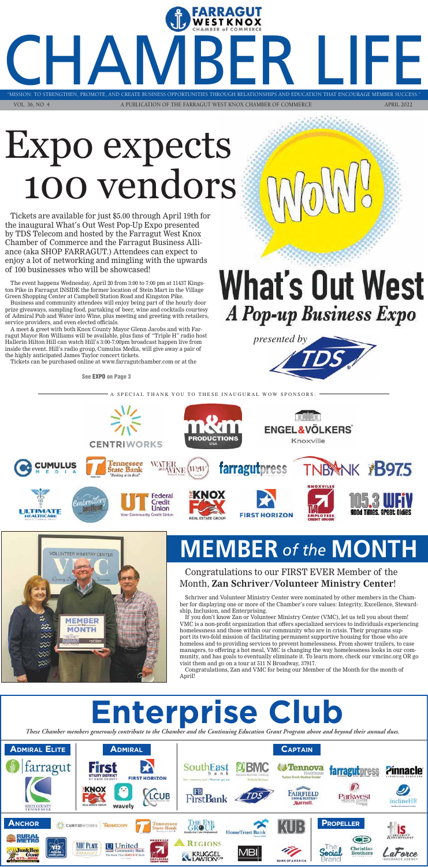### **MEMBER** *of the* **MONTH**



"MISSION: TO STRENGTHEN, PROMOTE, AND CREATE BUSINESS OPPORTUNITIES THROUGH RELATIONSHIPS AND EDUCATION THAT ENCOURAGE MEMBER S VOL. 36, NO. 4 A PUBLICATION OF THE FARRAGUT WEST KNOX CHAMBER OF COMMERCE APRIL 2022

"MISSION: TO STRENGTHEN, PROMOTE, AND CREATE BUSINESS OPPORTUNITIES THROUGH RELATIONSHIPS AND EDUCATION THAT ENCOURAGE MEMBER SUCCESS."

STRENGTHEN, PROMOTE, AND CREATE BUSINESS OPPORTUNITIES THROUGH RELATIONSHIPS AND EDUCATION THAT ENCOURAGE MEMBER SUCCESS."



*These Chamber members generously contribute to the Chamber and the Continuing Education Grant Program above and beyond their an nual dues.*

## **Enterprise Club**

**See EXPO on Page 3**

### Congratulations to our FIRST EVER Member of the Month, **Zan Schriver/Volunteer Ministry Center**!

Schriver and Volunteer Ministry Center were nominated by other members in the Chamber for displaying one or more of the Chamber's core values: Integrity, Excellence, Stewardship, Inclusion, and Enterprising.

If you don't know Zan or Volunteer Ministry Center (VMC), let us tell you about them! VMC is a non-profit organization that offers specialized services to individuals experiencing homelessness and those within our community who are in crisis. Their programs support its two-fold mission of facilitating permanent supportive housing for those who are homeless and to providing services to prevent homelessness. From shower trailers, to case managers, to offering a hot meal, VMC is changing the way homelessness looks in our community, and has goals to eventually eliminate it. To learn more, check our vmcinc.org OR go visit them and go on a tour at 511 N Broadway, 37917.

Congratulations, Zan and VMC for being our Member of the Month for the month of April!

# Expo expects 100 vendors

Tickets are available for just \$5.00 through April 19th for the inaugural What's Out West Pop-Up Expo presented by TDS Telecom and hosted by the Farragut West Knox Chamber of Commerce and the Farragut Business Alliance (aka SHOP FARRAGUT.) Attendees can expect to enjoy a lot of networking and mingling with the upwards of 100 businesses who will be showcased!

The event happens Wednesday, April 20 from 3:00 to 7:00 pm at 11437 Kingston Pike in Farragut INSIDE the former location of Stein Mart in the Village Green Shopping Center at Campbell Station Road and Kingston Pike.

Business and community attendees will enjoy being part of the hourly door prize giveaways, sampling food, partaking of beer, wine and cocktails courtesy of Admiral Pub and Water into Wine, plus meeting and greeting with retailers, service providers, and even elected officials.

A meet & greet with both Knox County Mayor Glenn Jacobs and with Farragut Mayor Ron Williams will be available, plus fans of "Triple H" radio host Hallerin Hilton Hill can watch Hill's 3:00-7:00pm broadcast happen live from inside the event. Hill's radio group, Cumulus Media, will give away a pair of the highly anticipated James Taylor concert tickets.

Tickets can be purchased online at www.farragutchamber.com or at the

What's Out West A Pop-up Business Expo



A SPECIAL THANK YOU TO THESE INAUGURAL WOW SPONSORS:



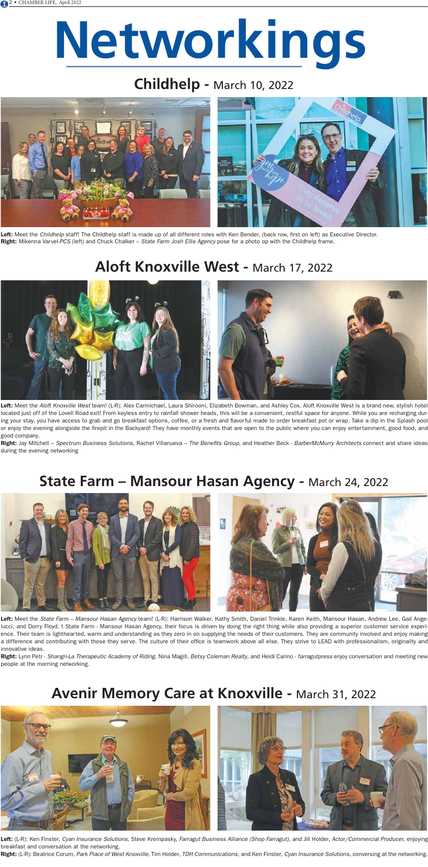# **Networkings**

### **Childhelp -** March 10, 2022



Left: Meet the Childhelp staff! The Childhelp staff is made up of all different roles with Ken Bender, (back row, first on left) as Executive Director. **Right:** Mikenna Varvel-PCS (left) and Chuck Chalker – S*tate Farm Josh Ellis Agency* pose for a photo op with the Childhelp frame.

### **Aloft Knoxville West -** March 17, 2022



### **State Farm – Mansour Hasan Agency -** March 24, 2022





### **Avenir Memory Care at Knoxville -** March 31, 2022



Left: Meet the Aloft Knoxville West team! (L-R): Alex Carmichael, Laura Shirooni, Elizabeth Bowman, and Ashley Cox. Aloft Knoxville West is a brand new, stylish hotel located just off of the Lovell Road exit! From keyless entry to rainfall shower heads, this will be a convenient, restful space for anyone. While you are recharging during your stay, you have access to grab and go breakfast options, coffee, or a fresh and flavorful made to order breakfast pot or wrap. Take a dip in the Splash pool or enjoy the evening alongside the firepit in the Backyard! They have monthly events that are open to the public where you can enjoy entertainment, good food, and good company.

Right: Jay Mitchell - Spectrum Business Solutions, Rachel Villanueva - The Benefits Group, and Heather Beck - BarberMcMurry Architects connect and share ideas during the evening networking

Left: Meet the State Farm – Mansour Hasan Agency team! (L-R): Harrison Walker, Kathy Smith, Daniel Trinkle, Karen Keith, Mansour Hasan, Andrew Lee, Gail Angelucci, and Dorry Floyd. t State Farm - Mansour Hasan Agency, their focus is driven by doing the right thing while also providing a superior customer service experience. Their team is lighthearted, warm and understanding as they zero in on supplying the needs of their customers. They are community involved and enjoy making a difference and contributing with those they serve. The culture of their office is teamwork above all else. They strive to LEAD with professionalism, originality and innovative ideas.

Right: Lynn Petr - Shangri-La Therapeutic Academy of Riding, Nina Magill, Betsy Coleman Realty, and Heidi Carino - farragutpress enjoy conversation and meeting new people at the morning networking.

**Left:** (L-R): Ken Finster, *Cyan Insurance Solutions*, Steve Krempasky, *Farragut Business Alliance (Shop Farragut)*, and Jill Holder, *Actor/Commercial Producer*, enjoying breakfast and conversation at the networking.

Right: (L-R): Beatrice Corum, Park Place of West Knoxville, Tim Holder, TDH Communications, and Ken Finster, Cyan Insurance Solutions, conversing at the networking.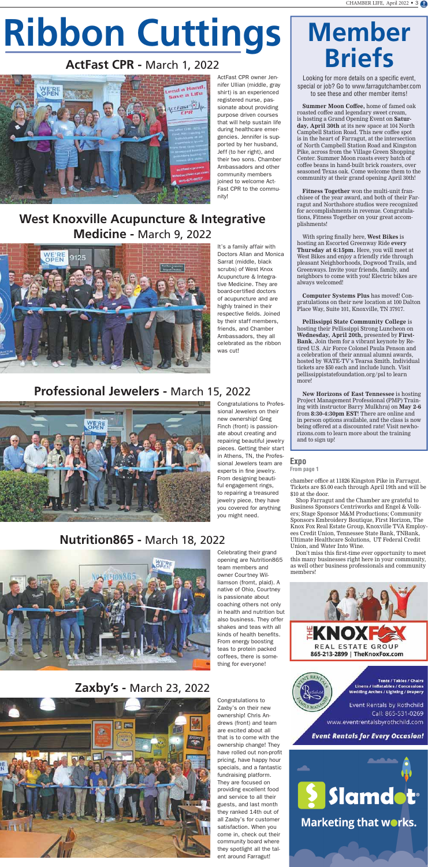# **Ribbon Cuttings**

### **ActFast CPR -** March 1, 2022



### **West Knoxville Acupuncture & Integrative Medicine -** March 9, 2022



### **Professional Jewelers -** March 15, 2022



### **Nutrition865 -** March 18, 2022



### **Zaxby's -** March 23, 2022



### **Member Briefs**

Looking for more details on a specific event, special or job? Go to www.farragutchamber.com to see these and other member items!

**Summer Moon Coffee,** home of famed oak roasted coffee and legendary sweet cream, is hosting a Grand Opening Event on **Saturday, April 30th** at its new space at 104 North Campbell Station Road. This new coffee spot is in the heart of Farragut, at the intersection of North Campbell Station Road and Kingston Pike, across from the Village Green Shopping Center. Summer Moon roasts every batch of coffee beans in hand-built brick roasters, over seasoned Texas oak. Come welcome them to the community at their grand opening April 30th!

**Fitness Together** won the multi-unit franchisee of the year award, and both of their Farragut and Northshore studios were recognized for accomplishments in revenue. Congratulations, Fitness Together on your great accomplishments!

With spring finally here, **West Bikes** is hosting an Escorted Greenway Ride **every Thursday at 6:15pm.** Here, you will meet at West Bikes and enjoy a friendly ride through pleasant Neighborhoods, Dogwood Trails, and Greenways. Invite your friends, family, and neighbors to come with you! Electric bikes are always welcomed!

**Computer Systems Plus** has moved! Congratulations on their new location at 100 Dalton Place Way, Suite 101, Knoxville, TN 37917.

**Pellissippi State Community College** is hosting their Pellissippi Strong Luncheon on **Wednesday, April 20th,** presented by **First-Bank**, Join them for a vibrant keynote by Retired U.S. Air Force Colonel Paula Penson and a celebration of their annual alumni awards, hosted by WATE-TV's Tearsa Smith. Individual tickets are \$50 each and include lunch. Visit pellissippistatefoundation.org/psl to learn more!

**New Horizons of East Tennessee** is hosting Project Management Professional (PMP) Training with instructor Barry Mulkhraj on **May 2-6** from **8:30-4:30pm EST**! There are online and in person options available, and the class is now being offered at a discounted rate! Visit newhorizons.com to learn more about the training and to sign up!

ActFast CPR owner Jennifer Ullian (middle, gray shirt) is an experienced registered nurse, passionate about providing purpose driven courses that will help sustain life during healthcare emergencies. Jennifer is supported by her husband, Jeff (to her right), and their two sons. Chamber Ambassadors and other community members joined to welcome Act-Fast CPR to the community!

It's a family affair with Doctors Allan and Monica Sarrat (middle, black scrubs) of West Knox Acupuncture & Integrative Medicine. They are board-certified doctors of acupuncture and are highly trained in their respective fields. Joined by their staff members, friends, and Chamber Ambassadors, they all celebrated as the ribbon was cut!

Congratulations to Professional Jewelers on their new ownership! Greg Finch (front) is passionate about creating and repairing beautiful jewelry pieces. Getting their start in Athens, TN, the Professional Jewelers team are experts in fine jewelry. From designing beautiful engagement rings, to repairing a treasured jewelry piece, they have you covered for anything you might need.

Celebrating their grand opening are Nutrition865 team members and owner Courtney Williamson (fromt, plaid). A native of Ohio, Courtney is passionate about coaching others not only in health and nutrition but also business. They offer shakes and teas with all kinds of health benefits. From energy boosting teas to protein packed coffees, there is something for everyone!





Tents / Tables / Chairs **Linens / Inflatables / Concessions** Wedding Arches / Lighting / Drapery

Event Rentals by Rothchild Call: 865-531-0269 www.eventrentalsbyrothchild.com

#### **Event Rentals for Every Occasion!**



Congratulations to Zaxby's on their new ownership! Chris Andrews (front) and team are excited about all that is to come with the ownership change! They have rolled out non-profit pricing, have happy hour specials, and a fantastic fundraising platform. They are focused on providing excellent food and service to all their guests, and last month they ranked 14th out of all Zaxby's for customer satisfaction. When you come in, check out their community board where they spotlight all the talent around Farragut!

#### **Expo**

**From page 1**

chamber office at 11826 Kingston Pike in Farragut. Tickets are \$5.00 each through April 19th and will be \$10 at the door.

Shop Farragut and the Chamber are grateful to Business Sponsors Centriworks and Engel & Volkers; Stage Sponsor M&M Productions; Community Sponsors Embroidery Boutique, First Horizon, The Knox Fox Real Estate Group, Knoxville TVA Employees Credit Union, Tennessee State Bank, TNBank, Ultimate Healthcare Solutions, UT Federal Credit Union, and Water Into Wine. Don't miss this first-time ever opportunity to meet this many businesses right here in your community, as well other business professionals and community members!